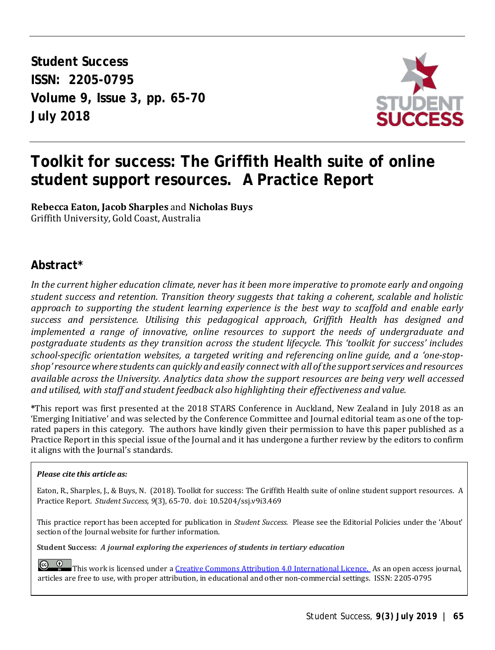**Student Success ISSN: 2205-0795 Volume 9, Issue 3, pp. 65-70 July 2018** 



# **Toolkit for success: The Griffith Health suite of online student support resources. A Practice Report**

**Rebecca Eaton, Jacob Sharples** and **Nicholas Buys** Griffith University, Gold Coast, Australia

### **Abstract\***

*In the current higher education climate, never has it been more imperative to promote early and ongoing student success and retention. Transition theory suggests that taking a coherent, scalable and holistic approach to supporting the student learning experience is the best way to scaffold and enable early success and persistence. Utilising this pedagogical approach, Griffith Health has designed and implemented a range of innovative, online resources to support the needs of undergraduate and postgraduate students as they transition across the student lifecycle. This 'toolkit for success' includes school-specific orientation websites, a targeted writing and referencing online guide, and a 'one-stopshop' resource where students can quickly and easily connect with all of the support services and resources available across the University. Analytics data show the support resources are being very well accessed and utilised, with staff and student feedback also highlighting their effectiveness and value.* 

**\***This report was first presented at the 2018 STARS Conference in Auckland, New Zealand in July 2018 as an 'Emerging Initiative' and was selected by the Conference Committee and Journal editorial team as one of the toprated papers in this category. The authors have kindly given their permission to have this paper published as a Practice Report in this special issue of the Journal and it has undergone a further review by the editors to confirm it aligns with the Journal's standards.

#### *Please cite this article as:*

Eaton, R., Sharples, J., & Buys, N. (2018). Toolkit for success: The Griffith Health suite of online student support resources. A Practice Report.*Student Success, 9*(3), 65-70. doi: 10.5204/ssj.v9i3.469

This practice report has been accepted for publication in *Student Success.* Please see the Editorial Policies under the 'About' section of the Journal website for further information.

**Student Success:** *A journal exploring the experiences of students in tertiary education*

 $\circ$   $\circ$ This work is licensed under a [Creative Commons Attribution 4.0 International Licence. A](https://creativecommons.org/licenses/by/4.0/)s an open access journal, articles are free to use, with proper attribution, in educational and other non-commercial settings. ISSN: 2205-0795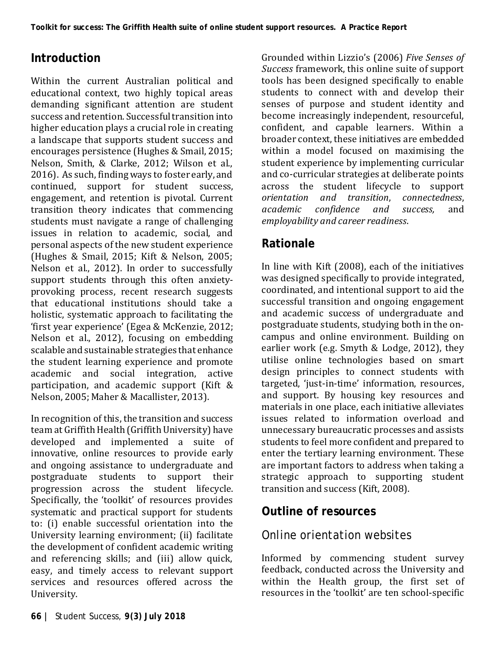# **Introduction**

Within the current Australian political and educational context, two highly topical areas demanding significant attention are student success and retention. Successful transition into higher education plays a crucial role in creating a landscape that supports student success and encourages persistence (Hughes & Smail, 2015; Nelson, Smith, & Clarke, 2012; Wilson et al., 2016). As such, finding ways to foster early, and continued, support for student success, engagement, and retention is pivotal. Current transition theory indicates that commencing students must navigate a range of challenging issues in relation to academic, social, and personal aspects of the new student experience (Hughes & Smail, 2015; Kift & Nelson, 2005; Nelson et al., 2012). In order to successfully support students through this often anxietyprovoking process, recent research suggests that educational institutions should take a holistic, systematic approach to facilitating the 'first year experience' (Egea & McKenzie, 2012; Nelson et al., 2012), focusing on embedding scalable and sustainable strategies that enhance the student learning experience and promote academic and social integration, active participation, and academic support (Kift & Nelson, 2005; Maher & Macallister, 2013).

In recognition of this, the transition and success team at Griffith Health (Griffith University) have developed and implemented a suite of innovative, online resources to provide early and ongoing assistance to undergraduate and postgraduate students to support their progression across the student lifecycle. Specifically, the 'toolkit' of resources provides systematic and practical support for students to: (i) enable successful orientation into the University learning environment; (ii) facilitate the development of confident academic writing and referencing skills; and (iii) allow quick, easy, and timely access to relevant support services and resources offered across the University.

Grounded within Lizzio's (2006) *Five Senses of Success* framework, this online suite of support tools has been designed specifically to enable students to connect with and develop their senses of purpose and student identity and become increasingly independent, resourceful, confident, and capable learners. Within a broader context, these initiatives are embedded within a model focused on maximising the student experience by implementing curricular and co-curricular strategies at deliberate points across the student lifecycle to support *orientation and transition*, *connectedness*,  $confidence$ *employability and career readiness*.

# **Rationale**

In line with Kift (2008), each of the initiatives was designed specifically to provide integrated, coordinated, and intentional support to aid the successful transition and ongoing engagement and academic success of undergraduate and postgraduate students, studying both in the oncampus and online environment. Building on earlier work (e.g. Smyth & Lodge, 2012), they utilise online technologies based on smart design principles to connect students with targeted, 'just-in-time' information, resources, and support. By housing key resources and materials in one place, each initiative alleviates issues related to information overload and unnecessary bureaucratic processes and assists students to feel more confident and prepared to enter the tertiary learning environment. These are important factors to address when taking a strategic approach to supporting student transition and success (Kift, 2008).

# **Outline of resources**

# *Online orientation websites*

Informed by commencing student survey feedback, conducted across the University and within the Health group, the first set of resources in the 'toolkit' are ten school-specific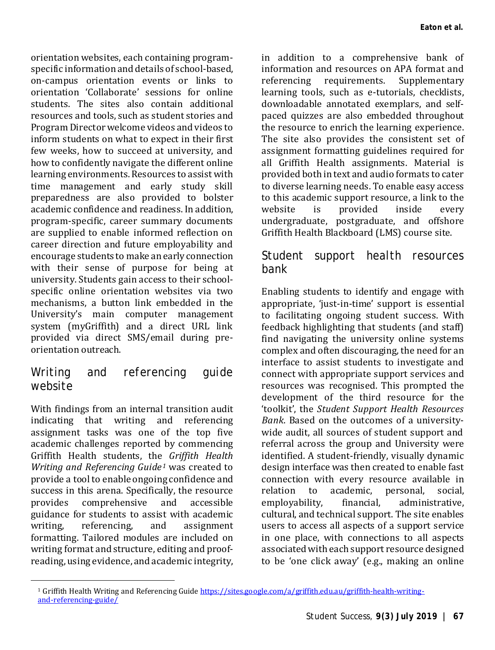orientation websites, each containing programspecific information and details of school-based, on-campus orientation events or links to orientation 'Collaborate' sessions for online students. The sites also contain additional resources and tools, such as student stories and Program Director welcome videos and videos to inform students on what to expect in their first few weeks, how to succeed at university, and how to confidently navigate the different online learning environments. Resources to assist with time management and early study skill preparedness are also provided to bolster academic confidence and readiness. In addition, program-specific, career summary documents are supplied to enable informed reflection on career direction and future employability and encourage students to make an early connection with their sense of purpose for being at university. Students gain access to their schoolspecific online orientation websites via two mechanisms, a button link embedded in the University's main computer management system (myGriffith) and a direct URL link provided via direct SMS/email during preorientation outreach.

#### *Writing and referencing guide website*

With findings from an internal transition audit indicating that writing and referencing assignment tasks was one of the top five academic challenges reported by commencing Griffith Health students, the *Griffith Health Writing and Referencing Guide<sup>[1](#page-2-0)</sup>* was created to provide a tool to enable ongoing confidence and success in this arena. Specifically, the resource<br>provides comprehensive and accessible comprehensive guidance for students to assist with academic assignment formatting. Tailored modules are included on writing format and structure, editing and proofreading, using evidence, and academic integrity,

<span id="page-2-0"></span> $\ddot{\phantom{a}}$ 

in addition to a comprehensive bank of information and resources on APA format and requirements. learning tools, such as e-tutorials, checklists, downloadable annotated exemplars, and selfpaced quizzes are also embedded throughout the resource to enrich the learning experience. The site also provides the consistent set of assignment formatting guidelines required for all Griffith Health assignments. Material is provided both in text and audio formats to cater to diverse learning needs. To enable easy access to this academic support resource, a link to the<br>website is provided inside every website is provided inside every undergraduate, postgraduate, and offshore Griffith Health Blackboard (LMS) course site.

#### *Student support health resources bank*

Enabling students to identify and engage with appropriate, 'just-in-time' support is essential to facilitating ongoing student success. With feedback highlighting that students (and staff) find navigating the university online systems complex and often discouraging, the need for an interface to assist students to investigate and connect with appropriate support services and resources was recognised. This prompted the development of the third resource for the 'toolkit', the *Student Support Health Resources Bank*. Based on the outcomes of a universitywide audit, all sources of student support and referral across the group and University were identified. A student-friendly, visually dynamic design interface was then created to enable fast connection with every resource available in relation to academic,<br>emplovability, financial, administrative. cultural, and technical support. The site enables users to access all aspects of a support service in one place, with connections to all aspects associated with each support resource designed to be 'one click away' (e.g., making an online

<sup>&</sup>lt;sup>1</sup> Griffith Health Writing and Referencing Guid[e https://sites.google.com/a/griffith.edu.au/griffith-health-writing](https://sites.google.com/a/griffith.edu.au/griffith-health-writing-and-referencing-guide/)[and-referencing-guide/](https://sites.google.com/a/griffith.edu.au/griffith-health-writing-and-referencing-guide/)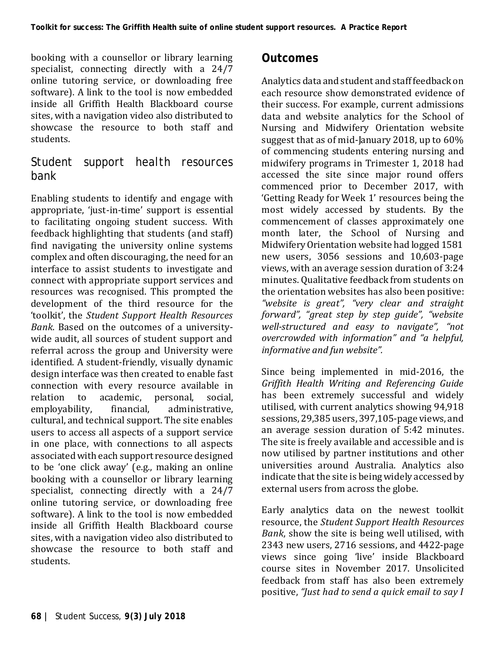booking with a counsellor or library learning specialist, connecting directly with a 24/7 online tutoring service, or downloading free software). A link to the tool is now embedded inside all Griffith Health Blackboard course sites, with a navigation video also distributed to showcase the resource to both staff and students.

#### *Student support health resources bank*

Enabling students to identify and engage with appropriate, 'just-in-time' support is essential to facilitating ongoing student success. With feedback highlighting that students (and staff) find navigating the university online systems complex and often discouraging, the need for an interface to assist students to investigate and connect with appropriate support services and resources was recognised. This prompted the development of the third resource for the 'toolkit', the *Student Support Health Resources Bank*. Based on the outcomes of a universitywide audit, all sources of student support and referral across the group and University were identified. A student-friendly, visually dynamic design interface was then created to enable fast connection with every resource available in relation to academic, personal, social, relation to academic, personal, social,<br>emplovability. financial. administrative. employability, financial, administrative, cultural, and technical support. The site enables users to access all aspects of a support service in one place, with connections to all aspects associated with each support resource designed to be 'one click away' (e.g., making an online booking with a counsellor or library learning specialist, connecting directly with a 24/7 online tutoring service, or downloading free software). A link to the tool is now embedded inside all Griffith Health Blackboard course sites, with a navigation video also distributed to showcase the resource to both staff and students.

#### **Outcomes**

Analytics data and student and staff feedback on each resource show demonstrated evidence of their success. For example, current admissions data and website analytics for the School of Nursing and Midwifery Orientation website suggest that as of mid-January 2018, up to 60% of commencing students entering nursing and midwifery programs in Trimester 1, 2018 had accessed the site since major round offers commenced prior to December 2017, with 'Getting Ready for Week 1' resources being the most widely accessed by students. By the commencement of classes approximately one month later, the School of Nursing and Midwifery Orientation website had logged 1581 new users, 3056 sessions and 10,603-page views, with an average session duration of 3:24 minutes. Qualitative feedback from students on the orientation websites has also been positive: *"website is great", "very clear and straight forward", "great step by step guide", "website well-structured and easy to navigate", "not overcrowded with information" and "a helpful, informative and fun website".*

Since being implemented in mid-2016, the *Griffith Health Writing and Referencing Guide* has been extremely successful and widely utilised, with current analytics showing 94,918 sessions, 29,385 users, 397,105-page views, and an average session duration of 5:42 minutes. The site is freely available and accessible and is now utilised by partner institutions and other universities around Australia. Analytics also indicate that the site is being widely accessed by external users from across the globe.

Early analytics data on the newest toolkit resource, the *Student Support Health Resources Bank*, show the site is being well utilised, with 2343 new users, 2716 sessions, and 4422-page views since going 'live' inside Blackboard course sites in November 2017. Unsolicited feedback from staff has also been extremely positive, *"Just had to send a quick email to say I*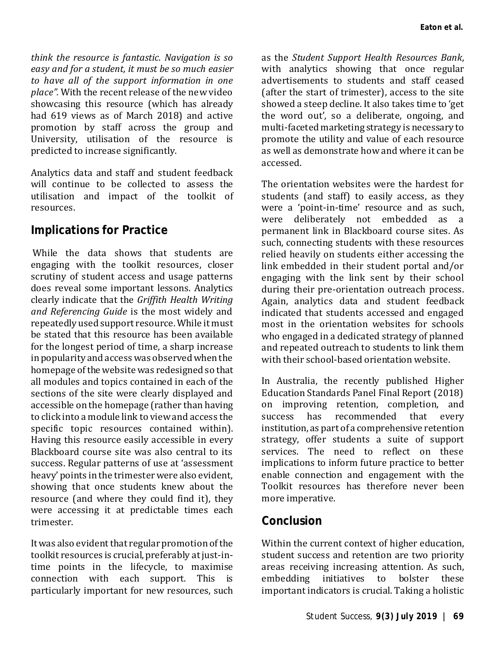*think the resource is fantastic. Navigation is so easy and for a student, it must be so much easier to have all of the support information in one place".* With the recent release of the new video showcasing this resource (which has already had 619 views as of March 2018) and active promotion by staff across the group and University, utilisation of the resource is predicted to increase significantly.

Analytics data and staff and student feedback will continue to be collected to assess the utilisation and impact of the toolkit of resources.

#### **Implications for Practice**

While the data shows that students are engaging with the toolkit resources, closer scrutiny of student access and usage patterns does reveal some important lessons. Analytics clearly indicate that the *Griffith Health Writing and Referencing Guide* is the most widely and repeatedly used support resource. While it must be stated that this resource has been available for the longest period of time, a sharp increase in popularity and access was observed when the homepage of the website was redesigned so that all modules and topics contained in each of the sections of the site were clearly displayed and accessible on the homepage (rather than having to click into a module link to view and access the specific topic resources contained within). Having this resource easily accessible in every Blackboard course site was also central to its success. Regular patterns of use at 'assessment heavy' points in the trimester were also evident, showing that once students knew about the resource (and where they could find it), they were accessing it at predictable times each trimester.

It was also evident that regular promotion of the toolkit resources is crucial, preferably at just-intime points in the lifecycle, to maximise connection with each support. This is particularly important for new resources, such

as the *Student Support Health Resources Bank*, with analytics showing that once regular advertisements to students and staff ceased (after the start of trimester), access to the site showed a steep decline. It also takes time to 'get the word out', so a deliberate, ongoing, and multi-faceted marketing strategy is necessary to promote the utility and value of each resource as well as demonstrate how and where it can be accessed.

The orientation websites were the hardest for students (and staff) to easily access, as they were a 'point-in-time' resource and as such, were deliberately not embedded as a permanent link in Blackboard course sites. As such, connecting students with these resources relied heavily on students either accessing the link embedded in their student portal and/or engaging with the link sent by their school during their pre-orientation outreach process. Again, analytics data and student feedback indicated that students accessed and engaged most in the orientation websites for schools who engaged in a dedicated strategy of planned and repeated outreach to students to link them with their school-based orientation website.

In Australia, the recently published Higher Education Standards Panel Final Report (2018) on improving retention, completion, and<br>success has recommended that every success has recommended that every institution, as part of a comprehensive retention strategy, offer students a suite of support services. The need to reflect on these implications to inform future practice to better enable connection and engagement with the Toolkit resources has therefore never been more imperative.

# **Conclusion**

Within the current context of higher education, student success and retention are two priority areas receiving increasing attention. As such, embedding initiatives to bolster these important indicators is crucial. Taking a holistic